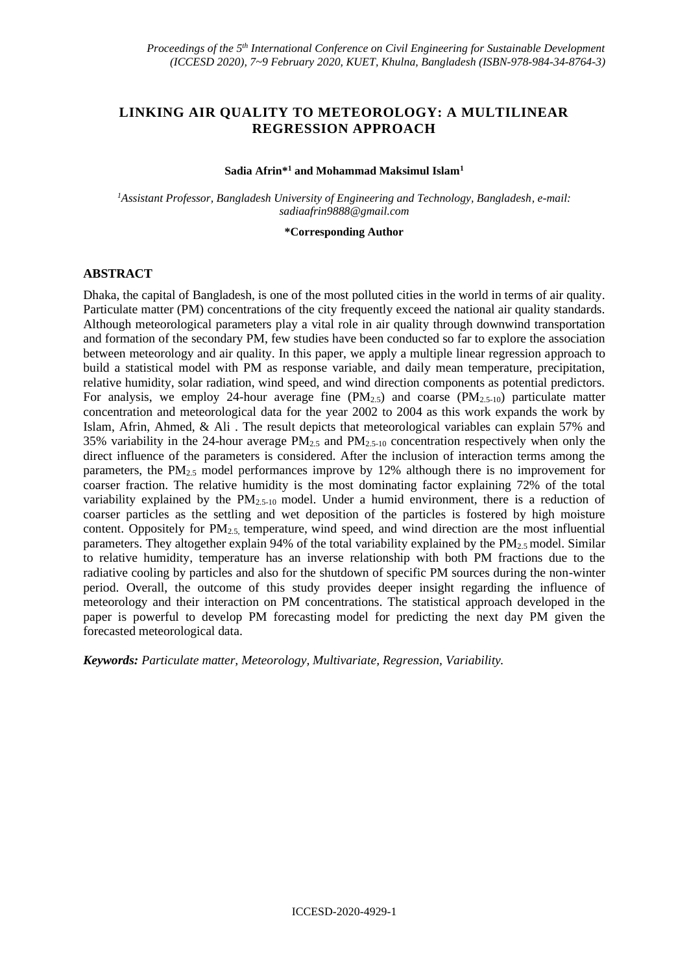# **LINKING AIR QUALITY TO METEOROLOGY: A MULTILINEAR REGRESSION APPROACH**

#### **Sadia Afrin\*<sup>1</sup> and Mohammad Maksimul Islam<sup>1</sup>**

*<sup>1</sup>Assistant Professor, Bangladesh University of Engineering and Technology, Bangladesh, e-mail: sadiaafrin9888@gmail.com*

**\*Corresponding Author**

### **ABSTRACT**

Dhaka, the capital of Bangladesh, is one of the most polluted cities in the world in terms of air quality. Particulate matter (PM) concentrations of the city frequently exceed the national air quality standards. Although meteorological parameters play a vital role in air quality through downwind transportation and formation of the secondary PM, few studies have been conducted so far to explore the association between meteorology and air quality. In this paper, we apply a multiple linear regression approach to build a statistical model with PM as response variable, and daily mean temperature, precipitation, relative humidity, solar radiation, wind speed, and wind direction components as potential predictors. For analysis, we employ 24-hour average fine  $(PM_{2.5})$  and coarse  $(PM_{2.5-10})$  particulate matter concentration and meteorological data for the year 2002 to 2004 as this work expands the work by Islam, Afrin, Ahmed, & Ali . The result depicts that meteorological variables can explain 57% and 35% variability in the 24-hour average  $PM_{2.5}$  and  $PM_{2.5-10}$  concentration respectively when only the direct influence of the parameters is considered. After the inclusion of interaction terms among the parameters, the  $PM_{2.5}$  model performances improve by 12% although there is no improvement for coarser fraction. The relative humidity is the most dominating factor explaining 72% of the total variability explained by the  $PM_{2,5-10}$  model. Under a humid environment, there is a reduction of coarser particles as the settling and wet deposition of the particles is fostered by high moisture content. Oppositely for  $PM_2$ <sub>5</sub> temperature, wind speed, and wind direction are the most influential parameters. They altogether explain 94% of the total variability explained by the PM<sub>2.5</sub> model. Similar to relative humidity, temperature has an inverse relationship with both PM fractions due to the radiative cooling by particles and also for the shutdown of specific PM sources during the non-winter period. Overall, the outcome of this study provides deeper insight regarding the influence of meteorology and their interaction on PM concentrations. The statistical approach developed in the paper is powerful to develop PM forecasting model for predicting the next day PM given the forecasted meteorological data.

*Keywords: Particulate matter, Meteorology, Multivariate, Regression, Variability.*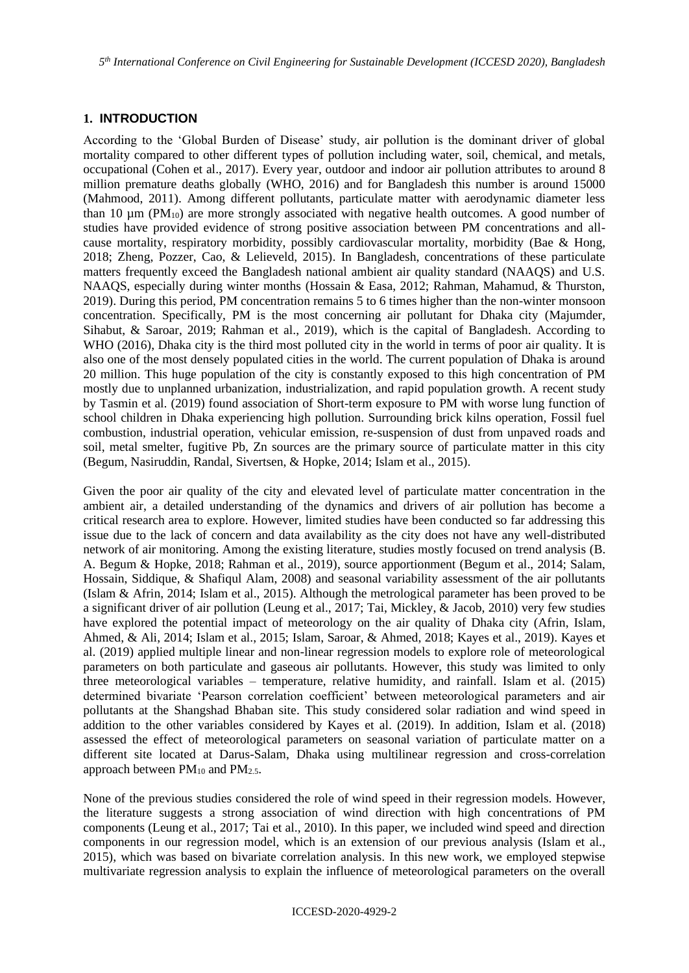*5 th International Conference on Civil Engineering for Sustainable Development (ICCESD 2020), Bangladesh*

### **1. INTRODUCTION**

According to the 'Global Burden of Disease' study, air pollution is the dominant driver of global mortality compared to other different types of pollution including water, soil, chemical, and metals, occupational (Cohen et al., 2017). Every year, outdoor and indoor air pollution attributes to around 8 million premature deaths globally (WHO, 2016) and for Bangladesh this number is around 15000 (Mahmood, 2011). Among different pollutants, particulate matter with aerodynamic diameter less than 10  $\mu$ m (PM<sub>10</sub>) are more strongly associated with negative health outcomes. A good number of studies have provided evidence of strong positive association between PM concentrations and allcause mortality, respiratory morbidity, possibly cardiovascular mortality, morbidity (Bae & Hong, 2018; Zheng, Pozzer, Cao, & Lelieveld, 2015). In Bangladesh, concentrations of these particulate matters frequently exceed the Bangladesh national ambient air quality standard (NAAQS) and U.S. NAAQS, especially during winter months (Hossain & Easa, 2012; Rahman, Mahamud, & Thurston, 2019). During this period, PM concentration remains 5 to 6 times higher than the non-winter monsoon concentration. Specifically, PM is the most concerning air pollutant for Dhaka city (Majumder, Sihabut, & Saroar, 2019; Rahman et al., 2019), which is the capital of Bangladesh. According to WHO (2016), Dhaka city is the third most polluted city in the world in terms of poor air quality. It is also one of the most densely populated cities in the world. The current population of Dhaka is around 20 million. This huge population of the city is constantly exposed to this high concentration of PM mostly due to unplanned urbanization, industrialization, and rapid population growth. A recent study by Tasmin et al. (2019) found association of Short-term exposure to PM with worse lung function of school children in Dhaka experiencing high pollution. Surrounding brick kilns operation, Fossil fuel combustion, industrial operation, vehicular emission, re-suspension of dust from unpaved roads and soil, metal smelter, fugitive Pb, Zn sources are the primary source of particulate matter in this city (Begum, Nasiruddin, Randal, Sivertsen, & Hopke, 2014; Islam et al., 2015).

Given the poor air quality of the city and elevated level of particulate matter concentration in the ambient air, a detailed understanding of the dynamics and drivers of air pollution has become a critical research area to explore. However, limited studies have been conducted so far addressing this issue due to the lack of concern and data availability as the city does not have any well-distributed network of air monitoring. Among the existing literature, studies mostly focused on trend analysis (B. A. Begum & Hopke, 2018; Rahman et al., 2019), source apportionment (Begum et al., 2014; Salam, Hossain, Siddique, & Shafiqul Alam, 2008) and seasonal variability assessment of the air pollutants (Islam & Afrin, 2014; Islam et al., 2015). Although the metrological parameter has been proved to be a significant driver of air pollution (Leung et al., 2017; Tai, Mickley, & Jacob, 2010) very few studies have explored the potential impact of meteorology on the air quality of Dhaka city (Afrin, Islam, Ahmed, & Ali, 2014; Islam et al., 2015; Islam, Saroar, & Ahmed, 2018; Kayes et al., 2019). Kayes et al. (2019) applied multiple linear and non-linear regression models to explore role of meteorological parameters on both particulate and gaseous air pollutants. However, this study was limited to only three meteorological variables – temperature, relative humidity, and rainfall. Islam et al. (2015) determined bivariate 'Pearson correlation coefficient' between meteorological parameters and air pollutants at the Shangshad Bhaban site. This study considered solar radiation and wind speed in addition to the other variables considered by Kayes et al. (2019). In addition, Islam et al. (2018) assessed the effect of meteorological parameters on seasonal variation of particulate matter on a different site located at Darus-Salam, Dhaka using multilinear regression and cross-correlation approach between  $PM_{10}$  and  $PM_{2.5}$ .

None of the previous studies considered the role of wind speed in their regression models. However, the literature suggests a strong association of wind direction with high concentrations of PM components (Leung et al., 2017; Tai et al., 2010). In this paper, we included wind speed and direction components in our regression model, which is an extension of our previous analysis (Islam et al., 2015), which was based on bivariate correlation analysis. In this new work, we employed stepwise multivariate regression analysis to explain the influence of meteorological parameters on the overall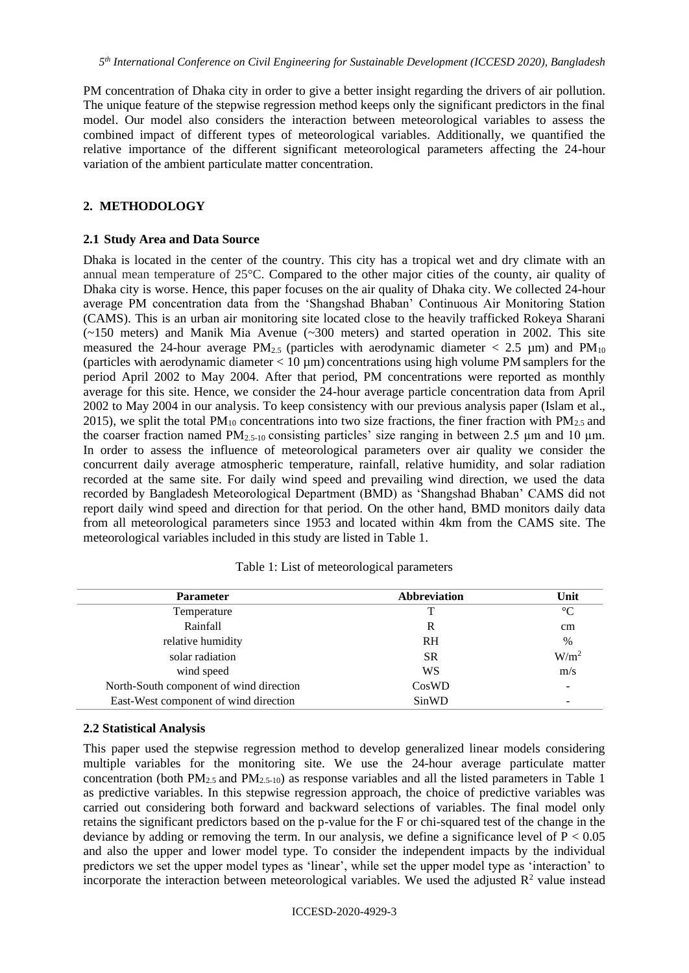PM concentration of Dhaka city in order to give a better insight regarding the drivers of air pollution. The unique feature of the stepwise regression method keeps only the significant predictors in the final model. Our model also considers the interaction between meteorological variables to assess the combined impact of different types of meteorological variables. Additionally, we quantified the relative importance of the different significant meteorological parameters affecting the 24-hour variation of the ambient particulate matter concentration.

### **2. METHODOLOGY**

#### **2.1 Study Area and Data Source**

Dhaka is located in the center of the country. This city has a tropical wet and dry climate with an annual mean temperature of 25°C. Compared to the other major cities of the county, air quality of Dhaka city is worse. Hence, this paper focuses on the air quality of Dhaka city. We collected 24-hour average PM concentration data from the 'Shangshad Bhaban' Continuous Air Monitoring Station (CAMS). This is an urban air monitoring site located close to the heavily trafficked Rokeya Sharani (~150 meters) and Manik Mia Avenue (~300 meters) and started operation in 2002. This site measured the 24-hour average PM<sub>2.5</sub> (particles with aerodynamic diameter  $\langle 2.5 \mu m \rangle$  and PM<sub>10</sub> (particles with aerodynamic diameter  $< 10 \mu m$ ) concentrations using high volume PM samplers for the period April 2002 to May 2004. After that period, PM concentrations were reported as monthly average for this site. Hence, we consider the 24-hour average particle concentration data from April 2002 to May 2004 in our analysis. To keep consistency with our previous analysis paper (Islam et al., 2015), we split the total  $PM_{10}$  concentrations into two size fractions, the finer fraction with  $PM_{2.5}$  and the coarser fraction named  $PM_{2.5-10}$  consisting particles' size ranging in between 2.5  $\mu$ m and 10  $\mu$ m. In order to assess the influence of meteorological parameters over air quality we consider the concurrent daily average atmospheric temperature, rainfall, relative humidity, and solar radiation recorded at the same site. For daily wind speed and prevailing wind direction, we used the data recorded by Bangladesh Meteorological Department (BMD) as 'Shangshad Bhaban' CAMS did not report daily wind speed and direction for that period. On the other hand, BMD monitors daily data from all meteorological parameters since 1953 and located within 4km from the CAMS site. The meteorological variables included in this study are listed in Table 1.

| <b>Parameter</b>                        | <b>Abbreviation</b> | Unit                     |
|-----------------------------------------|---------------------|--------------------------|
| Temperature                             |                     | $\rm ^{\circ}C$          |
| Rainfall                                | R                   | cm                       |
| relative humidity                       | <b>RH</b>           | $\%$                     |
| solar radiation                         | <b>SR</b>           | W/m <sup>2</sup>         |
| wind speed                              | WS                  | m/s                      |
| North-South component of wind direction | CosWD               |                          |
| East-West component of wind direction   | SinWD               | $\overline{\phantom{a}}$ |

|  |  |  |  |  | Table 1: List of meteorological parameters |
|--|--|--|--|--|--------------------------------------------|
|--|--|--|--|--|--------------------------------------------|

#### **2.2 Statistical Analysis**

This paper used the stepwise regression method to develop generalized linear models considering multiple variables for the monitoring site. We use the 24-hour average particulate matter concentration (both  $PM_{2.5}$  and  $PM_{2.5-10}$ ) as response variables and all the listed parameters in Table 1 as predictive variables. In this stepwise regression approach, the choice of predictive variables was carried out considering both forward and backward selections of variables. The final model only retains the significant predictors based on the p-value for the F or chi-squared test of the change in the deviance by adding or removing the term. In our analysis, we define a significance level of  $P < 0.05$ and also the upper and lower model type. To consider the independent impacts by the individual predictors we set the upper model types as 'linear', while set the upper model type as 'interaction' to incorporate the interaction between meteorological variables. We used the adjusted  $\mathbb{R}^2$  value instead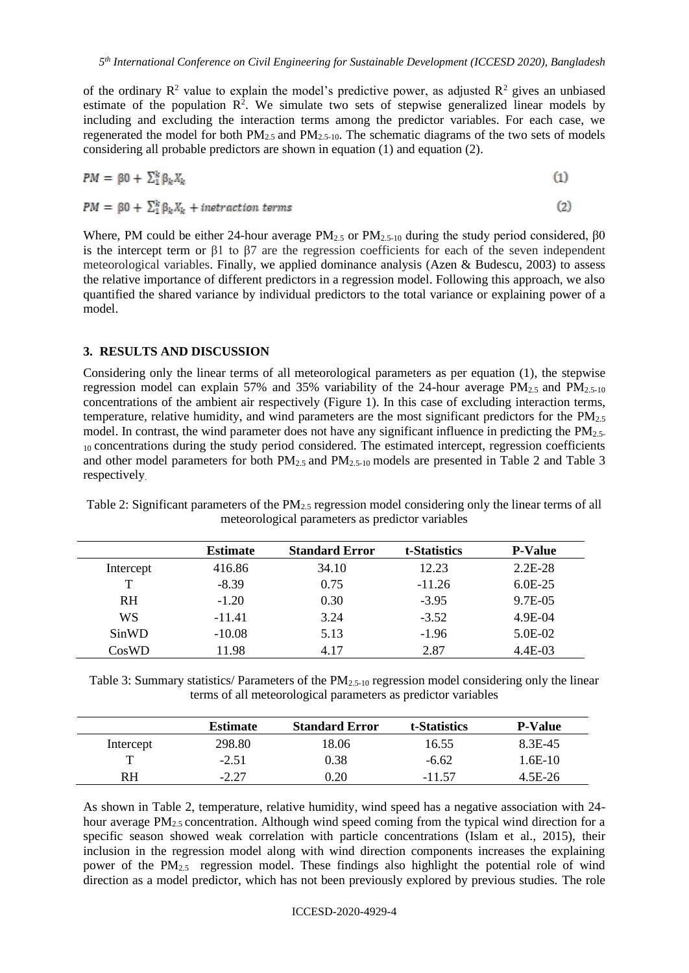of the ordinary  $R^2$  value to explain the model's predictive power, as adjusted  $R^2$  gives an unbiased estimate of the population  $\mathbb{R}^2$ . We simulate two sets of stepwise generalized linear models by including and excluding the interaction terms among the predictor variables. For each case, we regenerated the model for both  $PM_{2.5}$  and  $PM_{2.5-10}$ . The schematic diagrams of the two sets of models considering all probable predictors are shown in equation (1) and equation (2).

$$
PM = \beta 0 + \sum_{k=1}^{k} \beta_k X_k \tag{1}
$$

 $PM = \beta 0 + \sum_{k=1}^{k} \beta_k X_k + interaction$ 

Where, PM could be either 24-hour average PM<sub>2.5</sub> or PM<sub>2.5-10</sub> during the study period considered,  $\beta$ 0 is the intercept term or  $\beta$ 1 to  $\beta$ 7 are the regression coefficients for each of the seven independent meteorological variables. Finally, we applied dominance analysis (Azen & Budescu, 2003) to assess the relative importance of different predictors in a regression model. Following this approach, we also quantified the shared variance by individual predictors to the total variance or explaining power of a model.

 $(2)$ 

### **3. RESULTS AND DISCUSSION**

Considering only the linear terms of all meteorological parameters as per equation (1), the stepwise regression model can explain 57% and 35% variability of the 24-hour average  $PM_{2.5}$  and  $PM_{2.5-10}$ concentrations of the ambient air respectively (Figure 1). In this case of excluding interaction terms, temperature, relative humidity, and wind parameters are the most significant predictors for the  $PM_{2.5}$ model. In contrast, the wind parameter does not have any significant influence in predicting the PM2.5- 10 concentrations during the study period considered. The estimated intercept, regression coefficients and other model parameters for both PM<sub>2.5</sub> and PM<sub>2.5-10</sub> models are presented in Table 2 and Table 3 respectively.

|           | <b>Estimate</b> | <b>Standard Error</b> | t-Statistics | <b>P-Value</b> |
|-----------|-----------------|-----------------------|--------------|----------------|
| Intercept | 416.86          | 34.10                 | 12.23        | $2.2E-28$      |
| т         | $-8.39$         | 0.75                  | $-11.26$     | $6.0E-25$      |
| <b>RH</b> | $-1.20$         | 0.30                  | $-3.95$      | 9.7E-05        |
| WS        | $-11.41$        | 3.24                  | $-3.52$      | $4.9E - 04$    |
| SinWD     | $-10.08$        | 5.13                  | $-1.96$      | 5.0E-02        |
| CosWD     | 11.98           | 4.17                  | 2.87         | $4.4E-03$      |

Table 2: Significant parameters of the PM2.5 regression model considering only the linear terms of all meteorological parameters as predictor variables

Table 3: Summary statistics/ Parameters of the  $PM_{2,5-10}$  regression model considering only the linear terms of all meteorological parameters as predictor variables

|           | <b>Estimate</b> | <b>Standard Error</b> | t-Statistics | <b>P-Value</b> |
|-----------|-----------------|-----------------------|--------------|----------------|
| Intercept | 298.80          | 18.06                 | 16.55        | 8.3E-45        |
|           | $-2.51$         | 0.38                  | $-6.62$      | 1.6E-10        |
| RH        | $-2.27$         | 0.20                  | -11.57       | 4.5E-26        |

As shown in Table 2, temperature, relative humidity, wind speed has a negative association with 24 hour average PM<sub>2.5</sub> concentration. Although wind speed coming from the typical wind direction for a specific season showed weak correlation with particle concentrations (Islam et al., 2015), their inclusion in the regression model along with wind direction components increases the explaining power of the  $PM_{2.5}$  regression model. These findings also highlight the potential role of wind direction as a model predictor, which has not been previously explored by previous studies. The role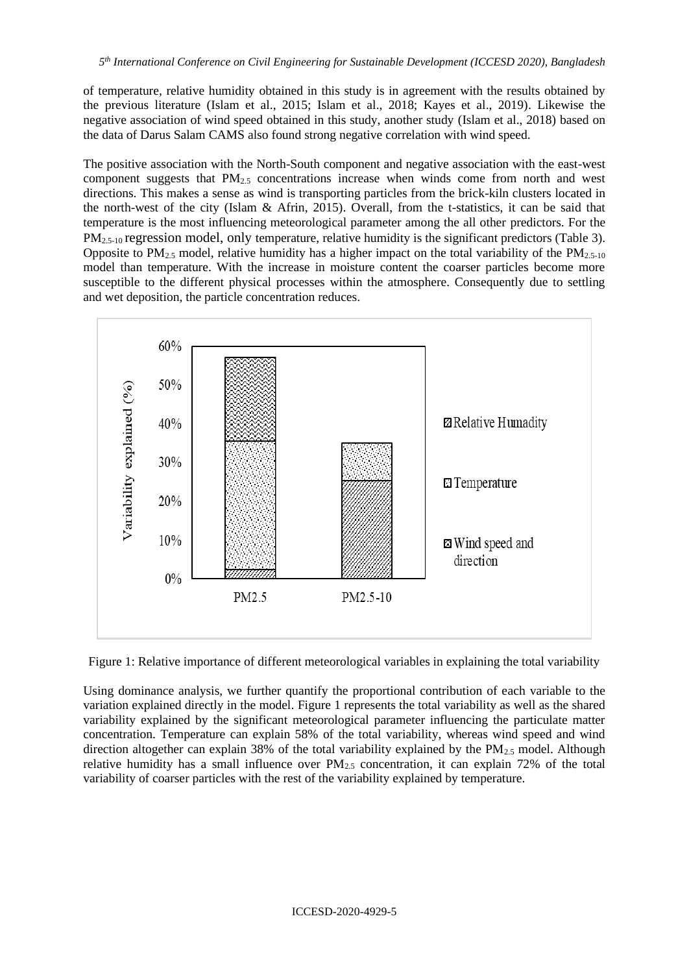of temperature, relative humidity obtained in this study is in agreement with the results obtained by the previous literature (Islam et al., 2015; Islam et al., 2018; Kayes et al., 2019). Likewise the negative association of wind speed obtained in this study, another study (Islam et al., 2018) based on the data of Darus Salam CAMS also found strong negative correlation with wind speed.

The positive association with the North-South component and negative association with the east-west component suggests that  $PM_{2.5}$  concentrations increase when winds come from north and west directions. This makes a sense as wind is transporting particles from the brick-kiln clusters located in the north-west of the city (Islam & Afrin, 2015). Overall, from the t-statistics, it can be said that temperature is the most influencing meteorological parameter among the all other predictors. For the  $PM_{2.5-10}$  regression model, only temperature, relative humidity is the significant predictors (Table 3). Opposite to PM<sub>2.5</sub> model, relative humidity has a higher impact on the total variability of the PM<sub>2.5-10</sub> model than temperature. With the increase in moisture content the coarser particles become more susceptible to the different physical processes within the atmosphere. Consequently due to settling and wet deposition, the particle concentration reduces.



Figure 1: Relative importance of different meteorological variables in explaining the total variability

Using dominance analysis, we further quantify the proportional contribution of each variable to the variation explained directly in the model. Figure 1 represents the total variability as well as the shared variability explained by the significant meteorological parameter influencing the particulate matter concentration. Temperature can explain 58% of the total variability, whereas wind speed and wind direction altogether can explain 38% of the total variability explained by the PM<sub>2.5</sub> model. Although relative humidity has a small influence over  $PM_{2.5}$  concentration, it can explain 72% of the total variability of coarser particles with the rest of the variability explained by temperature.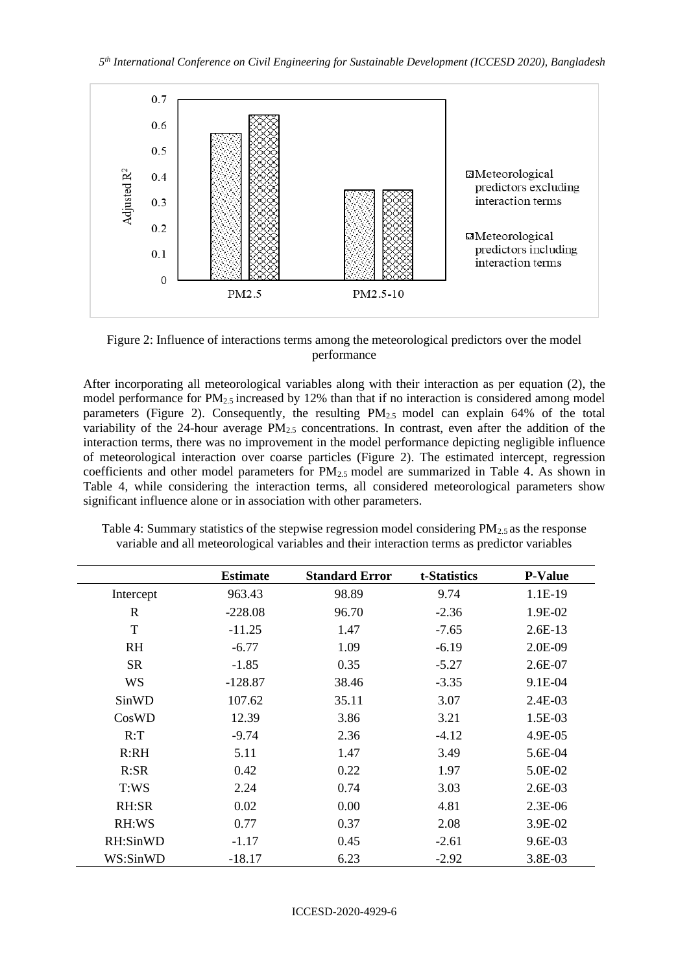

Figure 2: Influence of interactions terms among the meteorological predictors over the model performance

After incorporating all meteorological variables along with their interaction as per equation (2), the model performance for  $PM<sub>2.5</sub>$  increased by 12% than that if no interaction is considered among model parameters (Figure 2). Consequently, the resulting PM2.5 model can explain 64% of the total variability of the 24-hour average  $PM<sub>2.5</sub>$  concentrations. In contrast, even after the addition of the interaction terms, there was no improvement in the model performance depicting negligible influence of meteorological interaction over coarse particles (Figure 2). The estimated intercept, regression coefficients and other model parameters for PM<sub>2.5</sub> model are summarized in Table 4. As shown in Table 4, while considering the interaction terms, all considered meteorological parameters show significant influence alone or in association with other parameters.

|             | <b>Estimate</b> | <b>Standard Error</b> | t-Statistics | <b>P-Value</b> |
|-------------|-----------------|-----------------------|--------------|----------------|
| Intercept   | 963.43          | 98.89                 | 9.74         | 1.1E-19        |
| $\mathbf R$ | $-228.08$       | 96.70                 | $-2.36$      | 1.9E-02        |
| T           | $-11.25$        | 1.47                  | $-7.65$      | $2.6E-13$      |
| <b>RH</b>   | $-6.77$         | 1.09                  | $-6.19$      | 2.0E-09        |
| <b>SR</b>   | $-1.85$         | 0.35                  | $-5.27$      | 2.6E-07        |
| <b>WS</b>   | $-128.87$       | 38.46                 | $-3.35$      | 9.1E-04        |
| SinWD       | 107.62          | 35.11                 | 3.07         | 2.4E-03        |
| CosWD       | 12.39           | 3.86                  | 3.21         | 1.5E-03        |
| R: T        | $-9.74$         | 2.36                  | $-4.12$      | 4.9E-05        |
| R:RH        | 5.11            | 1.47                  | 3.49         | 5.6E-04        |
| R:SR        | 0.42            | 0.22                  | 1.97         | 5.0E-02        |
| T:WS        | 2.24            | 0.74                  | 3.03         | 2.6E-03        |
| RH:SR       | 0.02            | 0.00                  | 4.81         | $2.3E-06$      |
| RH:WS       | 0.77            | 0.37                  | 2.08         | 3.9E-02        |
| RH:SinWD    | $-1.17$         | 0.45                  | $-2.61$      | 9.6E-03        |
| WS:SinWD    | $-18.17$        | 6.23                  | $-2.92$      | 3.8E-03        |

Table 4: Summary statistics of the stepwise regression model considering  $PM_{2.5}$  as the response variable and all meteorological variables and their interaction terms as predictor variables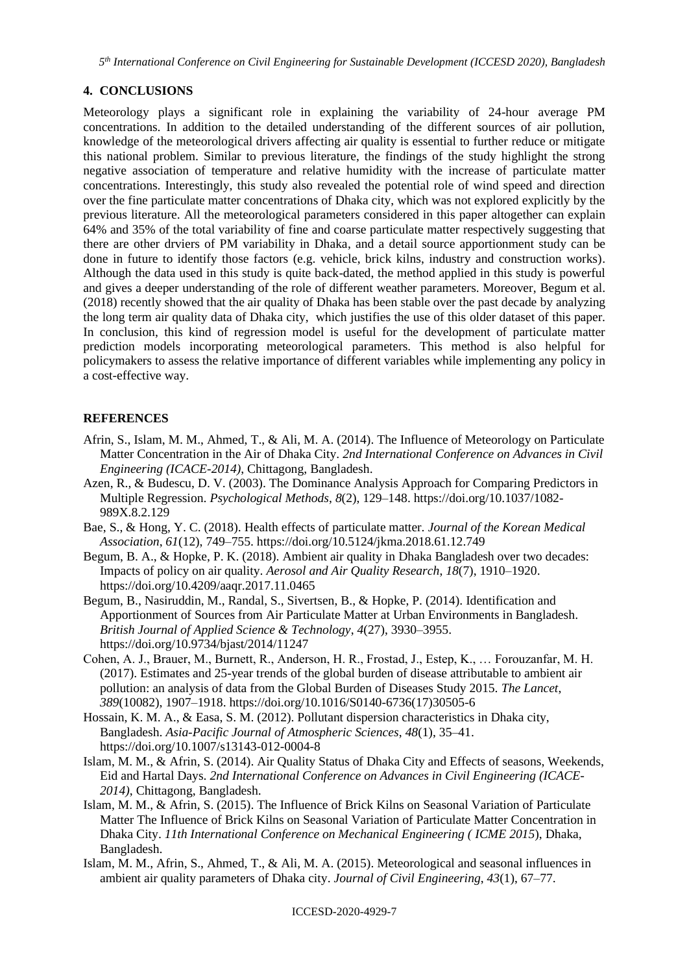*5 th International Conference on Civil Engineering for Sustainable Development (ICCESD 2020), Bangladesh*

## **4. CONCLUSIONS**

Meteorology plays a significant role in explaining the variability of 24-hour average PM concentrations. In addition to the detailed understanding of the different sources of air pollution, knowledge of the meteorological drivers affecting air quality is essential to further reduce or mitigate this national problem. Similar to previous literature, the findings of the study highlight the strong negative association of temperature and relative humidity with the increase of particulate matter concentrations. Interestingly, this study also revealed the potential role of wind speed and direction over the fine particulate matter concentrations of Dhaka city, which was not explored explicitly by the previous literature. All the meteorological parameters considered in this paper altogether can explain 64% and 35% of the total variability of fine and coarse particulate matter respectively suggesting that there are other drviers of PM variability in Dhaka, and a detail source apportionment study can be done in future to identify those factors (e.g. vehicle, brick kilns, industry and construction works). Although the data used in this study is quite back-dated, the method applied in this study is powerful and gives a deeper understanding of the role of different weather parameters. Moreover, Begum et al. (2018) recently showed that the air quality of Dhaka has been stable over the past decade by analyzing the long term air quality data of Dhaka city, which justifies the use of this older dataset of this paper. In conclusion, this kind of regression model is useful for the development of particulate matter prediction models incorporating meteorological parameters. This method is also helpful for policymakers to assess the relative importance of different variables while implementing any policy in a cost-effective way.

## **REFERENCES**

- Afrin, S., Islam, M. M., Ahmed, T., & Ali, M. A. (2014). The Influence of Meteorology on Particulate Matter Concentration in the Air of Dhaka City. *2nd International Conference on Advances in Civil Engineering (ICACE-2014)*, Chittagong, Bangladesh.
- Azen, R., & Budescu, D. V. (2003). The Dominance Analysis Approach for Comparing Predictors in Multiple Regression. *Psychological Methods*, *8*(2), 129–148. https://doi.org/10.1037/1082- 989X.8.2.129
- Bae, S., & Hong, Y. C. (2018). Health effects of particulate matter. *Journal of the Korean Medical Association*, *61*(12), 749–755. https://doi.org/10.5124/jkma.2018.61.12.749
- Begum, B. A., & Hopke, P. K. (2018). Ambient air quality in Dhaka Bangladesh over two decades: Impacts of policy on air quality. *Aerosol and Air Quality Research*, *18*(7), 1910–1920. https://doi.org/10.4209/aaqr.2017.11.0465
- Begum, B., Nasiruddin, M., Randal, S., Sivertsen, B., & Hopke, P. (2014). Identification and Apportionment of Sources from Air Particulate Matter at Urban Environments in Bangladesh. *British Journal of Applied Science & Technology*, *4*(27), 3930–3955. https://doi.org/10.9734/bjast/2014/11247
- Cohen, A. J., Brauer, M., Burnett, R., Anderson, H. R., Frostad, J., Estep, K., … Forouzanfar, M. H. (2017). Estimates and 25-year trends of the global burden of disease attributable to ambient air pollution: an analysis of data from the Global Burden of Diseases Study 2015. *The Lancet*, *389*(10082), 1907–1918. https://doi.org/10.1016/S0140-6736(17)30505-6
- Hossain, K. M. A., & Easa, S. M. (2012). Pollutant dispersion characteristics in Dhaka city, Bangladesh. *Asia-Pacific Journal of Atmospheric Sciences*, *48*(1), 35–41. https://doi.org/10.1007/s13143-012-0004-8
- Islam, M. M., & Afrin, S. (2014). Air Quality Status of Dhaka City and Effects of seasons, Weekends, Eid and Hartal Days. *2nd International Conference on Advances in Civil Engineering (ICACE-2014)*, Chittagong, Bangladesh.
- Islam, M. M., & Afrin, S. (2015). The Influence of Brick Kilns on Seasonal Variation of Particulate Matter The Influence of Brick Kilns on Seasonal Variation of Particulate Matter Concentration in Dhaka City. *11th International Conference on Mechanical Engineering ( ICME 2015*), Dhaka, Bangladesh.
- Islam, M. M., Afrin, S., Ahmed, T., & Ali, M. A. (2015). Meteorological and seasonal influences in ambient air quality parameters of Dhaka city. *Journal of Civil Engineering*, *43*(1), 67–77.